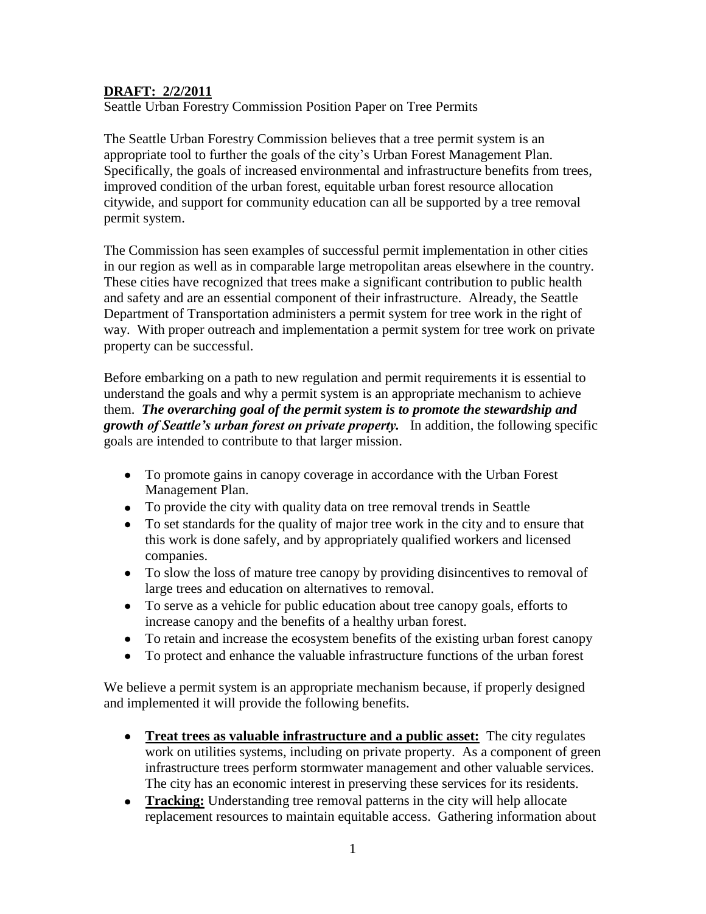# **DRAFT: 2/2/2011**

Seattle Urban Forestry Commission Position Paper on Tree Permits

The Seattle Urban Forestry Commission believes that a tree permit system is an appropriate tool to further the goals of the city's Urban Forest Management Plan. Specifically, the goals of increased environmental and infrastructure benefits from trees, improved condition of the urban forest, equitable urban forest resource allocation citywide, and support for community education can all be supported by a tree removal permit system.

The Commission has seen examples of successful permit implementation in other cities in our region as well as in comparable large metropolitan areas elsewhere in the country. These cities have recognized that trees make a significant contribution to public health and safety and are an essential component of their infrastructure. Already, the Seattle Department of Transportation administers a permit system for tree work in the right of way. With proper outreach and implementation a permit system for tree work on private property can be successful.

Before embarking on a path to new regulation and permit requirements it is essential to understand the goals and why a permit system is an appropriate mechanism to achieve them. *The overarching goal of the permit system is to promote the stewardship and growth of Seattle's urban forest on private property.* In addition, the following specific goals are intended to contribute to that larger mission.

- To promote gains in canopy coverage in accordance with the Urban Forest Management Plan.
- To provide the city with quality data on tree removal trends in Seattle
- To set standards for the quality of major tree work in the city and to ensure that this work is done safely, and by appropriately qualified workers and licensed companies.
- To slow the loss of mature tree canopy by providing disincentives to removal of large trees and education on alternatives to removal.
- To serve as a vehicle for public education about tree canopy goals, efforts to increase canopy and the benefits of a healthy urban forest.
- To retain and increase the ecosystem benefits of the existing urban forest canopy
- To protect and enhance the valuable infrastructure functions of the urban forest  $\bullet$

We believe a permit system is an appropriate mechanism because, if properly designed and implemented it will provide the following benefits.

- **Treat trees as valuable infrastructure and a public asset:** The city regulates work on utilities systems, including on private property. As a component of green infrastructure trees perform stormwater management and other valuable services. The city has an economic interest in preserving these services for its residents.
- **Tracking:** Understanding tree removal patterns in the city will help allocate  $\bullet$ replacement resources to maintain equitable access. Gathering information about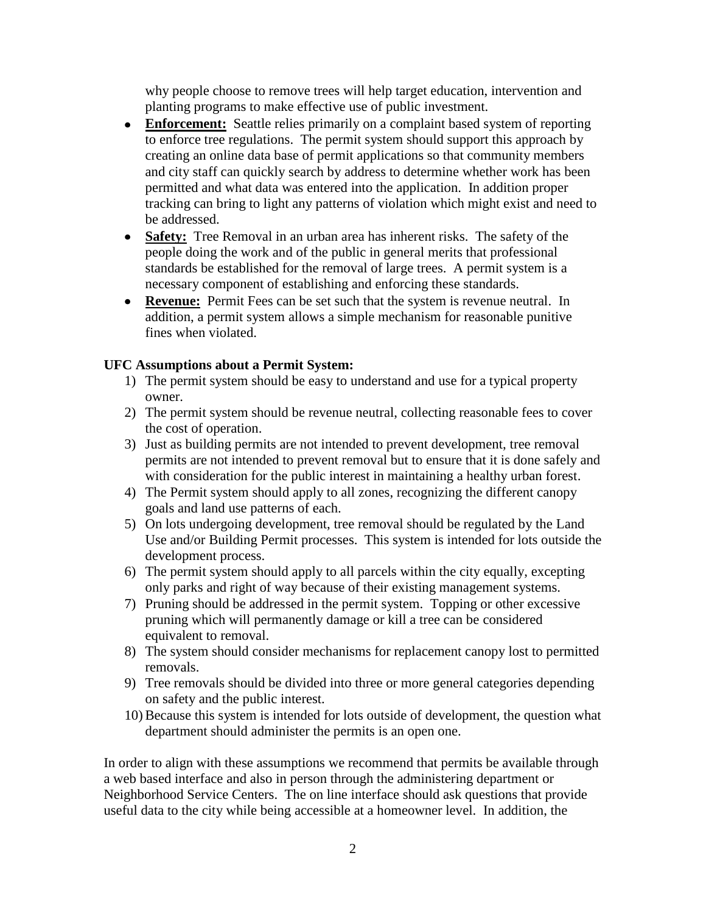why people choose to remove trees will help target education, intervention and planting programs to make effective use of public investment.

- **Enforcement:** Seattle relies primarily on a complaint based system of reporting to enforce tree regulations. The permit system should support this approach by creating an online data base of permit applications so that community members and city staff can quickly search by address to determine whether work has been permitted and what data was entered into the application. In addition proper tracking can bring to light any patterns of violation which might exist and need to be addressed.
- **Safety:** Tree Removal in an urban area has inherent risks. The safety of the people doing the work and of the public in general merits that professional standards be established for the removal of large trees. A permit system is a necessary component of establishing and enforcing these standards.
- **Revenue:** Permit Fees can be set such that the system is revenue neutral. In addition, a permit system allows a simple mechanism for reasonable punitive fines when violated.

# **UFC Assumptions about a Permit System:**

- 1) The permit system should be easy to understand and use for a typical property owner.
- 2) The permit system should be revenue neutral, collecting reasonable fees to cover the cost of operation.
- 3) Just as building permits are not intended to prevent development, tree removal permits are not intended to prevent removal but to ensure that it is done safely and with consideration for the public interest in maintaining a healthy urban forest.
- 4) The Permit system should apply to all zones, recognizing the different canopy goals and land use patterns of each.
- 5) On lots undergoing development, tree removal should be regulated by the Land Use and/or Building Permit processes. This system is intended for lots outside the development process.
- 6) The permit system should apply to all parcels within the city equally, excepting only parks and right of way because of their existing management systems.
- 7) Pruning should be addressed in the permit system. Topping or other excessive pruning which will permanently damage or kill a tree can be considered equivalent to removal.
- 8) The system should consider mechanisms for replacement canopy lost to permitted removals.
- 9) Tree removals should be divided into three or more general categories depending on safety and the public interest.
- 10) Because this system is intended for lots outside of development, the question what department should administer the permits is an open one.

In order to align with these assumptions we recommend that permits be available through a web based interface and also in person through the administering department or Neighborhood Service Centers. The on line interface should ask questions that provide useful data to the city while being accessible at a homeowner level. In addition, the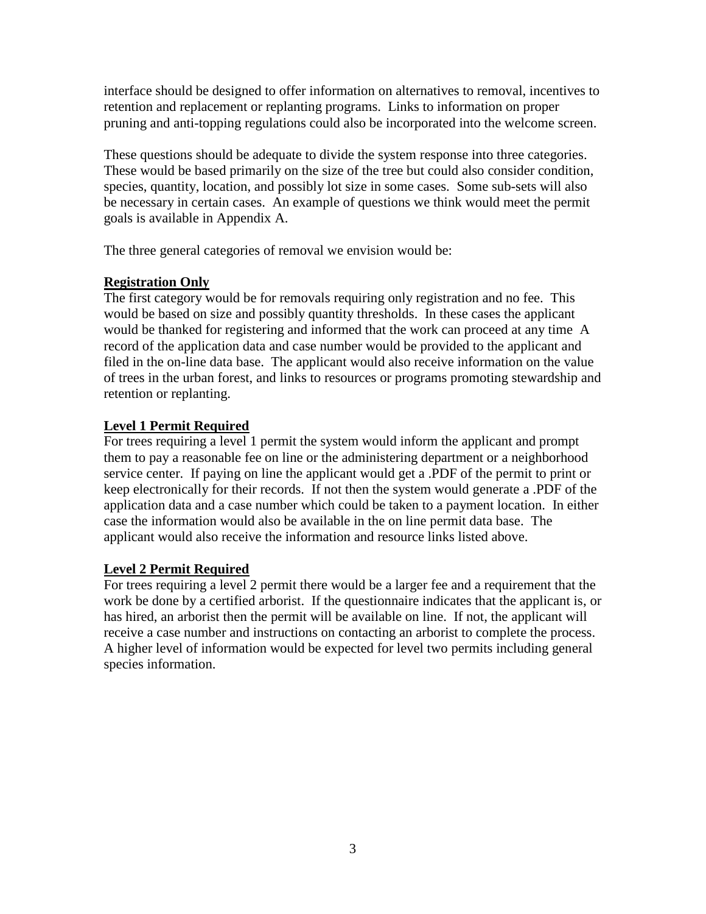interface should be designed to offer information on alternatives to removal, incentives to retention and replacement or replanting programs. Links to information on proper pruning and anti-topping regulations could also be incorporated into the welcome screen.

These questions should be adequate to divide the system response into three categories. These would be based primarily on the size of the tree but could also consider condition, species, quantity, location, and possibly lot size in some cases. Some sub-sets will also be necessary in certain cases. An example of questions we think would meet the permit goals is available in Appendix A.

The three general categories of removal we envision would be:

# **Registration Only**

The first category would be for removals requiring only registration and no fee. This would be based on size and possibly quantity thresholds. In these cases the applicant would be thanked for registering and informed that the work can proceed at any time A record of the application data and case number would be provided to the applicant and filed in the on-line data base. The applicant would also receive information on the value of trees in the urban forest, and links to resources or programs promoting stewardship and retention or replanting.

# **Level 1 Permit Required**

For trees requiring a level 1 permit the system would inform the applicant and prompt them to pay a reasonable fee on line or the administering department or a neighborhood service center. If paying on line the applicant would get a .PDF of the permit to print or keep electronically for their records. If not then the system would generate a .PDF of the application data and a case number which could be taken to a payment location. In either case the information would also be available in the on line permit data base. The applicant would also receive the information and resource links listed above.

# **Level 2 Permit Required**

For trees requiring a level 2 permit there would be a larger fee and a requirement that the work be done by a certified arborist. If the questionnaire indicates that the applicant is, or has hired, an arborist then the permit will be available on line. If not, the applicant will receive a case number and instructions on contacting an arborist to complete the process. A higher level of information would be expected for level two permits including general species information.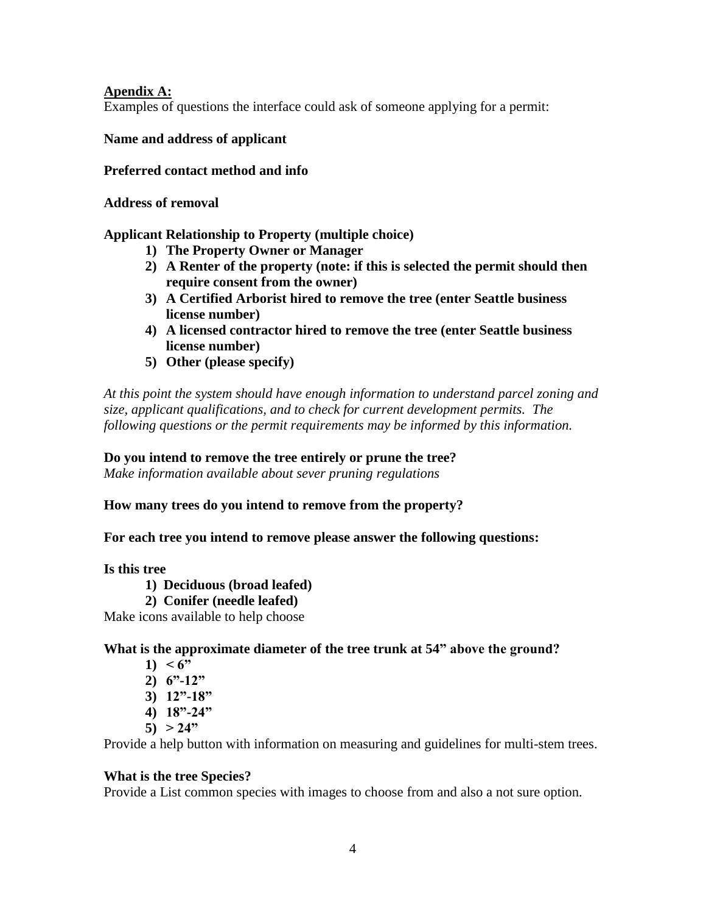#### **Apendix A:**

Examples of questions the interface could ask of someone applying for a permit:

#### **Name and address of applicant**

#### **Preferred contact method and info**

#### **Address of removal**

## **Applicant Relationship to Property (multiple choice)**

- **1) The Property Owner or Manager**
- **2) A Renter of the property (note: if this is selected the permit should then require consent from the owner)**
- **3) A Certified Arborist hired to remove the tree (enter Seattle business license number)**
- **4) A licensed contractor hired to remove the tree (enter Seattle business license number)**
- **5) Other (please specify)**

*At this point the system should have enough information to understand parcel zoning and size, applicant qualifications, and to check for current development permits. The following questions or the permit requirements may be informed by this information.*

#### **Do you intend to remove the tree entirely or prune the tree?**

*Make information available about sever pruning regulations*

**How many trees do you intend to remove from the property?**

**For each tree you intend to remove please answer the following questions:**

#### **Is this tree**

- **1) Deciduous (broad leafed)**
- **2) Conifer (needle leafed)**

Make icons available to help choose

#### **What is the approximate diameter of the tree trunk at 54" above the ground?**

- 1)  $< 6$ "
- **2) 6"-12"**
- **3) 12"-18"**
- **4) 18"-24"**
- **5) > 24"**

Provide a help button with information on measuring and guidelines for multi-stem trees.

#### **What is the tree Species?**

Provide a List common species with images to choose from and also a not sure option.